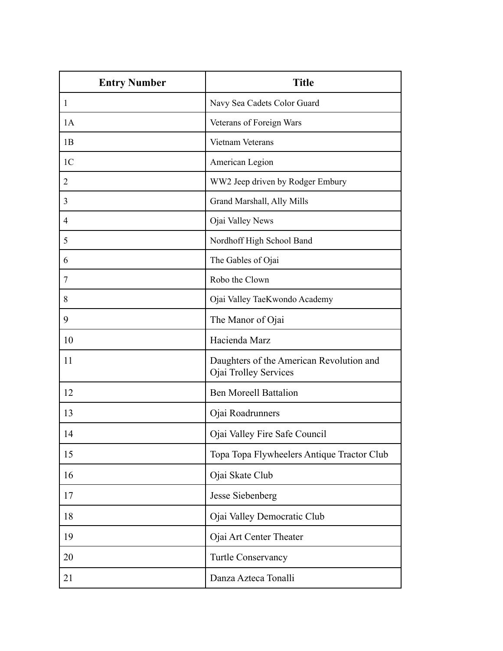| <b>Entry Number</b> | <b>Title</b>                                                      |
|---------------------|-------------------------------------------------------------------|
| 1                   | Navy Sea Cadets Color Guard                                       |
| 1A                  | Veterans of Foreign Wars                                          |
| 1B                  | Vietnam Veterans                                                  |
| 1 <sup>C</sup>      | American Legion                                                   |
| 2                   | WW2 Jeep driven by Rodger Embury                                  |
| 3                   | Grand Marshall, Ally Mills                                        |
| 4                   | Ojai Valley News                                                  |
| 5                   | Nordhoff High School Band                                         |
| 6                   | The Gables of Ojai                                                |
| 7                   | Robo the Clown                                                    |
| 8                   | Ojai Valley TaeKwondo Academy                                     |
| 9                   | The Manor of Ojai                                                 |
| 10                  | Hacienda Marz                                                     |
| 11                  | Daughters of the American Revolution and<br>Ojai Trolley Services |
| 12                  | <b>Ben Moreell Battalion</b>                                      |
| 13                  | Ojai Roadrunners                                                  |
| 14                  | Ojai Valley Fire Safe Council                                     |
| 15                  | Topa Topa Flywheelers Antique Tractor Club                        |
| 16                  | Ojai Skate Club                                                   |
| 17                  | Jesse Siebenberg                                                  |
| 18                  | Ojai Valley Democratic Club                                       |
| 19                  | Ojai Art Center Theater                                           |
| 20                  | Turtle Conservancy                                                |
| 21                  | Danza Azteca Tonalli                                              |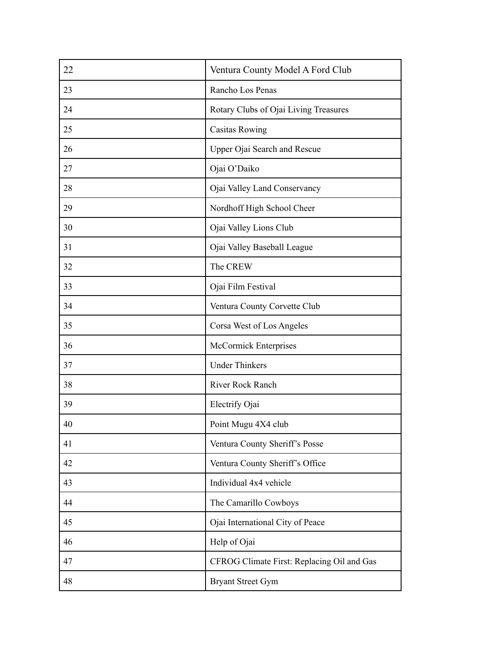| 22 | Ventura County Model A Ford Club           |
|----|--------------------------------------------|
| 23 | Rancho Los Penas                           |
| 24 | Rotary Clubs of Ojai Living Treasures      |
| 25 | <b>Casitas Rowing</b>                      |
| 26 | Upper Ojai Search and Rescue               |
| 27 | Ojai O'Daiko                               |
| 28 | Ojai Valley Land Conservancy               |
| 29 | Nordhoff High School Cheer                 |
| 30 | Ojai Valley Lions Club                     |
| 31 | Ojai Valley Baseball League                |
| 32 | The CREW                                   |
| 33 | Ojai Film Festival                         |
| 34 | Ventura County Corvette Club               |
| 35 | Corsa West of Los Angeles                  |
| 36 | McCormick Enterprises                      |
| 37 | <b>Under Thinkers</b>                      |
| 38 | River Rock Ranch                           |
| 39 | Electrify Ojai                             |
| 40 | Point Mugu 4X4 club                        |
| 41 | Ventura County Sheriff's Posse             |
| 42 | Ventura County Sheriff's Office            |
| 43 | Individual 4x4 vehicle                     |
| 44 | The Camarillo Cowboys                      |
| 45 | Ojai International City of Peace           |
| 46 | Help of Ojai                               |
| 47 | CFROG Climate First: Replacing Oil and Gas |
| 48 | <b>Bryant Street Gym</b>                   |